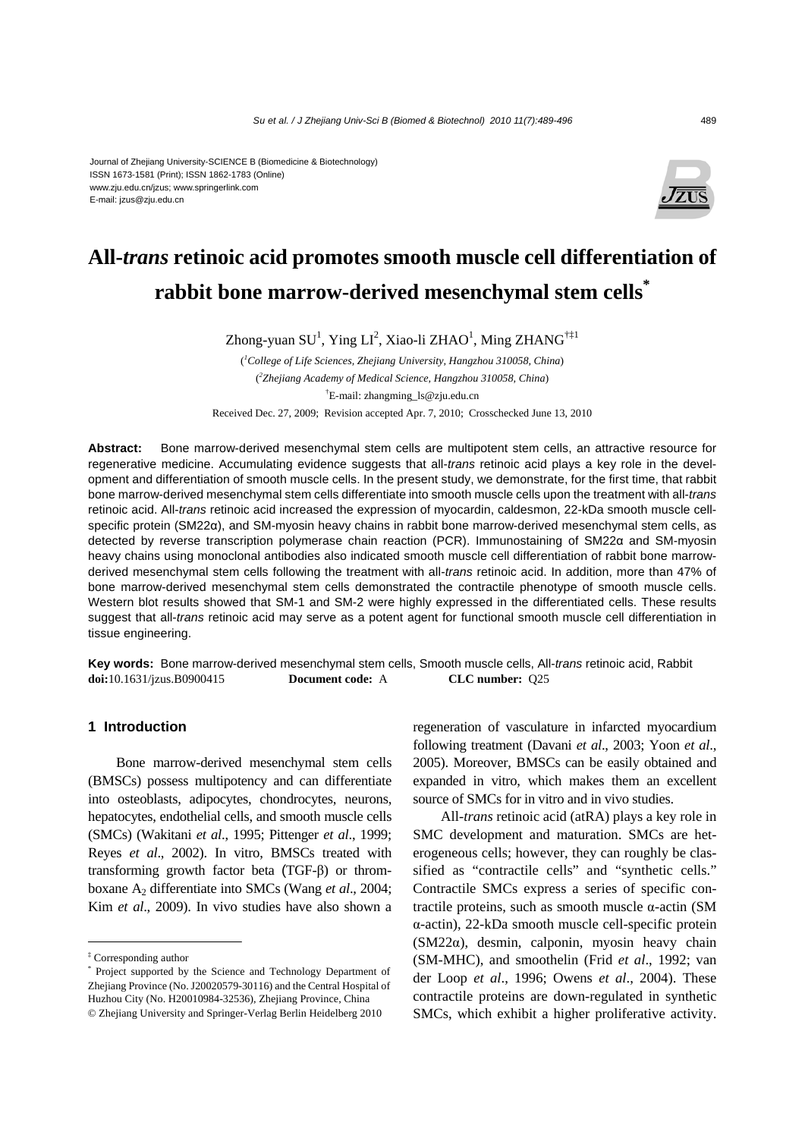#### Journal of Zhejiang University-SCIENCE B (Biomedicine & Biotechnology) ISSN 1673-1581 (Print); ISSN 1862-1783 (Online) www.zju.edu.cn/jzus; www.springerlink.com E-mail: jzus@zju.edu.cn



# **All-***trans* **retinoic acid promotes smooth muscle cell differentiation of rabbit bone marrow-derived mesenchymal stem cells\***

Zhong-yuan SU<sup>1</sup>, Ying LI<sup>2</sup>, Xiao-li ZHAO<sup>1</sup>, Ming ZHANG<sup>†‡1</sup>

( *1 College of Life Sciences, Zhejiang University, Hangzhou 310058, China*) ( *2 Zhejiang Academy of Medical Science, Hangzhou 310058, China*) † E-mail: zhangming\_ls@zju.edu.cn

Received Dec. 27, 2009; Revision accepted Apr. 7, 2010; Crosschecked June 13, 2010

**Abstract:** Bone marrow-derived mesenchymal stem cells are multipotent stem cells, an attractive resource for regenerative medicine. Accumulating evidence suggests that all-*trans* retinoic acid plays a key role in the development and differentiation of smooth muscle cells. In the present study, we demonstrate, for the first time, that rabbit bone marrow-derived mesenchymal stem cells differentiate into smooth muscle cells upon the treatment with all-*trans* retinoic acid. All-*trans* retinoic acid increased the expression of myocardin, caldesmon, 22-kDa smooth muscle cellspecific protein (SM22α), and SM-myosin heavy chains in rabbit bone marrow-derived mesenchymal stem cells, as detected by reverse transcription polymerase chain reaction (PCR). Immunostaining of SM22α and SM-myosin heavy chains using monoclonal antibodies also indicated smooth muscle cell differentiation of rabbit bone marrowderived mesenchymal stem cells following the treatment with all-*trans* retinoic acid. In addition, more than 47% of bone marrow-derived mesenchymal stem cells demonstrated the contractile phenotype of smooth muscle cells. Western blot results showed that SM-1 and SM-2 were highly expressed in the differentiated cells. These results suggest that all-*trans* retinoic acid may serve as a potent agent for functional smooth muscle cell differentiation in tissue engineering.

**Key words:** Bone marrow-derived mesenchymal stem cells, Smooth muscle cells, All-*trans* retinoic acid, Rabbit **doi:**10.1631/jzus.B0900415 **Document code:** A **CLC number:** Q25

# **1 Introduction**

Bone marrow-derived mesenchymal stem cells (BMSCs) possess multipotency and can differentiate into osteoblasts, adipocytes, chondrocytes, neurons, hepatocytes, endothelial cells, and smooth muscle cells (SMCs) (Wakitani *et al*., 1995; Pittenger *et al*., 1999; Reyes *et al*., 2002). In vitro, BMSCs treated with transforming growth factor beta (TGF-β) or thromboxane A2 differentiate into SMCs (Wang *et al*., 2004; Kim *et al*., 2009). In vivo studies have also shown a regeneration of vasculature in infarcted myocardium following treatment (Davani *et al*., 2003; Yoon *et al*., 2005). Moreover, BMSCs can be easily obtained and expanded in vitro, which makes them an excellent source of SMCs for in vitro and in vivo studies.

All-*trans* retinoic acid (atRA) plays a key role in SMC development and maturation. SMCs are heterogeneous cells; however, they can roughly be classified as "contractile cells" and "synthetic cells." Contractile SMCs express a series of specific contractile proteins, such as smooth muscle α-actin (SM α-actin), 22-kDa smooth muscle cell-specific protein (SM22α), desmin, calponin, myosin heavy chain (SM-MHC), and smoothelin (Frid *et al*., 1992; van der Loop *et al*., 1996; Owens *et al*., 2004). These contractile proteins are down-regulated in synthetic SMCs, which exhibit a higher proliferative activity.

<sup>‡</sup> Corresponding author

<sup>\*</sup> Project supported by the Science and Technology Department of Zhejiang Province (No. J20020579-30116) and the Central Hospital of Huzhou City (No. H20010984-32536), Zhejiang Province, China © Zhejiang University and Springer-Verlag Berlin Heidelberg 2010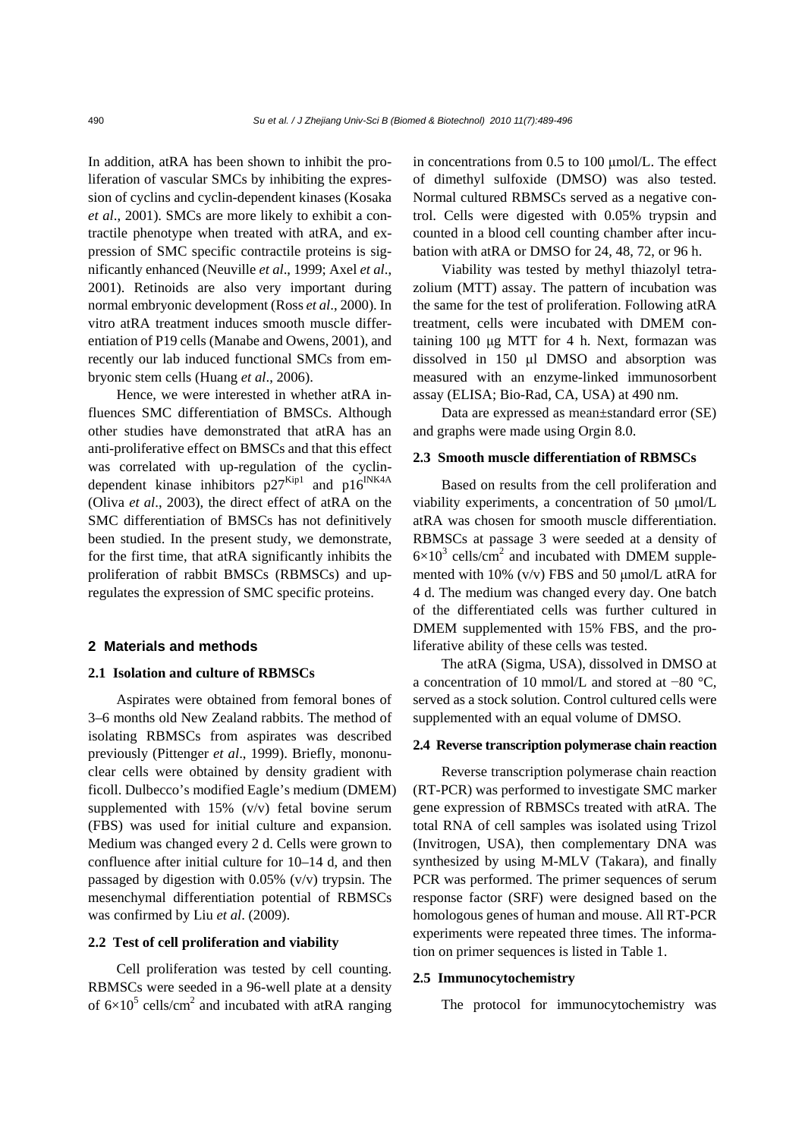In addition, atRA has been shown to inhibit the proliferation of vascular SMCs by inhibiting the expression of cyclins and cyclin-dependent kinases (Kosaka *et al*., 2001). SMCs are more likely to exhibit a contractile phenotype when treated with atRA, and expression of SMC specific contractile proteins is significantly enhanced (Neuville *et al*., 1999; Axel *et al*., 2001). Retinoids are also very important during normal embryonic development (Ross *et al*., 2000). In vitro atRA treatment induces smooth muscle differentiation of P19 cells (Manabe and Owens, 2001), and recently our lab induced functional SMCs from embryonic stem cells (Huang *et al*., 2006).

Hence, we were interested in whether atRA influences SMC differentiation of BMSCs. Although other studies have demonstrated that atRA has an anti-proliferative effect on BMSCs and that this effect was correlated with up-regulation of the cyclindependent kinase inhibitors  $p27^{Kip1}$  and  $p16^{INK4A}$ (Oliva *et al*., 2003), the direct effect of atRA on the SMC differentiation of BMSCs has not definitively been studied. In the present study, we demonstrate, for the first time, that atRA significantly inhibits the proliferation of rabbit BMSCs (RBMSCs) and upregulates the expression of SMC specific proteins.

## **2 Materials and methods**

## **2.1 Isolation and culture of RBMSCs**

Aspirates were obtained from femoral bones of 3–6 months old New Zealand rabbits. The method of isolating RBMSCs from aspirates was described previously (Pittenger *et al*., 1999). Briefly, mononuclear cells were obtained by density gradient with ficoll. Dulbecco's modified Eagle's medium (DMEM) supplemented with  $15\%$  (v/v) fetal bovine serum (FBS) was used for initial culture and expansion. Medium was changed every 2 d. Cells were grown to confluence after initial culture for 10–14 d, and then passaged by digestion with 0.05% (v/v) trypsin. The mesenchymal differentiation potential of RBMSCs was confirmed by Liu *et al*. (2009).

#### **2.2 Test of cell proliferation and viability**

Cell proliferation was tested by cell counting. RBMSCs were seeded in a 96-well plate at a density of  $6 \times 10^5$  cells/cm<sup>2</sup> and incubated with atRA ranging in concentrations from 0.5 to 100 μmol/L. The effect of dimethyl sulfoxide (DMSO) was also tested. Normal cultured RBMSCs served as a negative control. Cells were digested with 0.05% trypsin and counted in a blood cell counting chamber after incubation with atRA or DMSO for 24, 48, 72, or 96 h.

Viability was tested by methyl thiazolyl tetrazolium (MTT) assay. The pattern of incubation was the same for the test of proliferation. Following atRA treatment, cells were incubated with DMEM containing 100 μg MTT for 4 h. Next, formazan was dissolved in 150 μl DMSO and absorption was measured with an enzyme-linked immunosorbent assay (ELISA; Bio-Rad, CA, USA) at 490 nm.

Data are expressed as mean±standard error (SE) and graphs were made using Orgin 8.0.

#### **2.3 Smooth muscle differentiation of RBMSCs**

Based on results from the cell proliferation and viability experiments, a concentration of 50 μmol/L atRA was chosen for smooth muscle differentiation. RBMSCs at passage 3 were seeded at a density of  $6\times10^3$  cells/cm<sup>2</sup> and incubated with DMEM supplemented with 10% (v/v) FBS and 50 μmol/L atRA for 4 d. The medium was changed every day. One batch of the differentiated cells was further cultured in DMEM supplemented with 15% FBS, and the proliferative ability of these cells was tested.

The atRA (Sigma, USA), dissolved in DMSO at a concentration of 10 mmol/L and stored at −80 °C, served as a stock solution. Control cultured cells were supplemented with an equal volume of DMSO.

#### **2.4 Reverse transcription polymerase chain reaction**

Reverse transcription polymerase chain reaction (RT-PCR) was performed to investigate SMC marker gene expression of RBMSCs treated with atRA. The total RNA of cell samples was isolated using Trizol (Invitrogen, USA), then complementary DNA was synthesized by using M-MLV (Takara), and finally PCR was performed. The primer sequences of serum response factor (SRF) were designed based on the homologous genes of human and mouse. All RT-PCR experiments were repeated three times. The information on primer sequences is listed in Table 1.

#### **2.5 Immunocytochemistry**

The protocol for immunocytochemistry was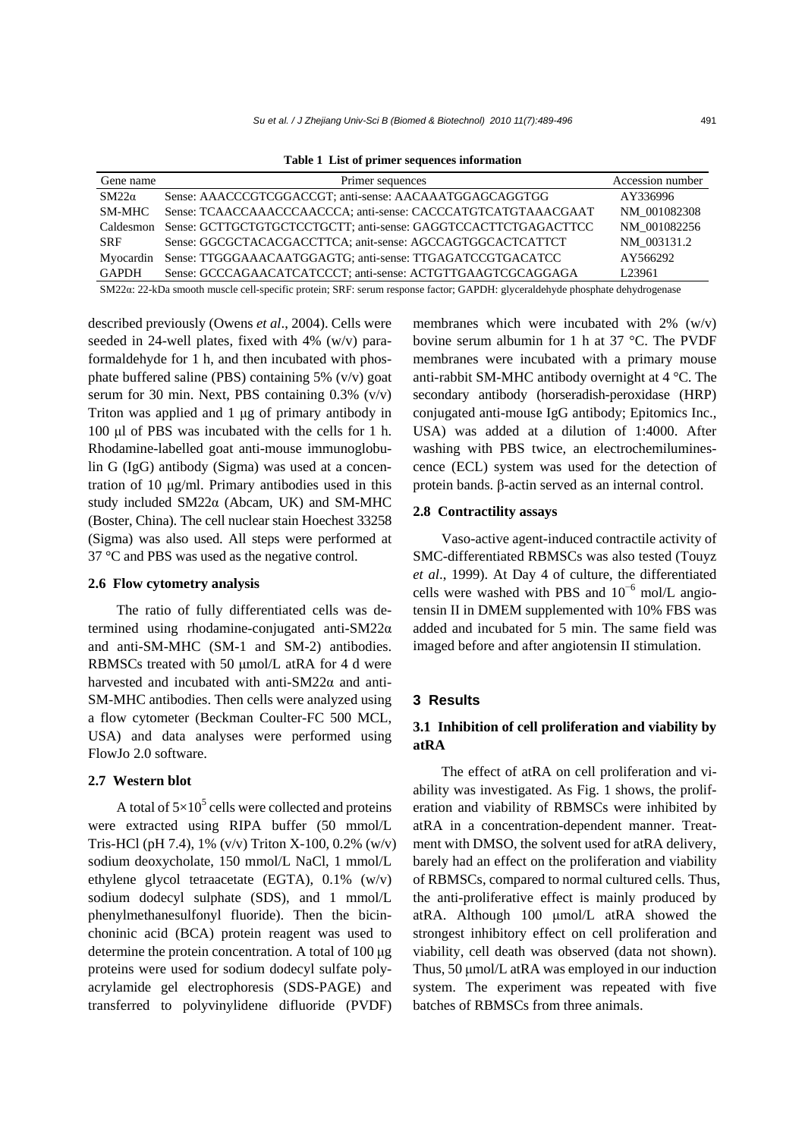|  |  |  |  | Table 1 List of primer sequences information |
|--|--|--|--|----------------------------------------------|
|--|--|--|--|----------------------------------------------|

| Gene name    | Primer sequences                                               | Accession number   |
|--------------|----------------------------------------------------------------|--------------------|
| $SM22\alpha$ | Sense: AAACCCGTCGGACCGT; anti-sense: AACAAATGGAGCAGGTGG        | AY336996           |
| SM-MHC       | Sense: TCAACCAAACCCAACCCA: anti-sense: CACCCATGTCATGTAAACGAAT  | NM 001082308       |
| Caldesmon    | Sense: GCTTGCTGTGCTCCTGCTT; anti-sense: GAGGTCCACTTCTGAGACTTCC | NM 001082256       |
| <b>SRF</b>   | Sense: GGCGCTACACGACCTTCA; anit-sense: AGCCAGTGGCACTCATTCT     | NM 003131.2        |
| Myocardin    | Sense: TTGGGAAACAATGGAGTG; anti-sense: TTGAGATCCGTGACATCC      | AY566292           |
| <b>GAPDH</b> | Sense: GCCCAGAACATCATCCCT; anti-sense: ACTGTTGAAGTCGCAGGAGA    | L <sub>23961</sub> |
|              |                                                                |                    |

SM22α: 22-kDa smooth muscle cell-specific protein; SRF: serum response factor; GAPDH: glyceraldehyde phosphate dehydrogenase

described previously (Owens *et al*., 2004). Cells were seeded in 24-well plates, fixed with 4% (w/v) paraformaldehyde for 1 h, and then incubated with phosphate buffered saline (PBS) containing 5% (v/v) goat serum for 30 min. Next, PBS containing  $0.3\%$  (v/v) Triton was applied and 1 μg of primary antibody in 100 μl of PBS was incubated with the cells for 1 h. Rhodamine-labelled goat anti-mouse immunoglobulin G (IgG) antibody (Sigma) was used at a concentration of 10 μg/ml. Primary antibodies used in this study included SM22α (Abcam, UK) and SM-MHC (Boster, China). The cell nuclear stain Hoechest 33258 (Sigma) was also used. All steps were performed at 37 °C and PBS was used as the negative control.

## **2.6 Flow cytometry analysis**

The ratio of fully differentiated cells was determined using rhodamine-conjugated anti-SM22α and anti-SM-MHC (SM-1 and SM-2) antibodies. RBMSCs treated with 50 μmol/L atRA for 4 d were harvested and incubated with anti-SM22α and anti-SM-MHC antibodies. Then cells were analyzed using a flow cytometer (Beckman Coulter-FC 500 MCL, USA) and data analyses were performed using FlowJo 2.0 software.

#### **2.7 Western blot**

A total of  $5\times10^5$  cells were collected and proteins were extracted using RIPA buffer (50 mmol/L Tris-HCl (pH 7.4), 1% (v/v) Triton X-100, 0.2% (w/v) sodium deoxycholate, 150 mmol/L NaCl, 1 mmol/L ethylene glycol tetraacetate (EGTA), 0.1% (w/v) sodium dodecyl sulphate (SDS), and 1 mmol/L phenylmethanesulfonyl fluoride). Then the bicinchoninic acid (BCA) protein reagent was used to determine the protein concentration. A total of 100 μg proteins were used for sodium dodecyl sulfate polyacrylamide gel electrophoresis (SDS-PAGE) and transferred to polyvinylidene difluoride (PVDF)

membranes which were incubated with 2% (w/v) bovine serum albumin for 1 h at 37 °C. The PVDF membranes were incubated with a primary mouse anti-rabbit SM-MHC antibody overnight at 4 °C. The secondary antibody (horseradish-peroxidase (HRP) conjugated anti-mouse IgG antibody; Epitomics Inc., USA) was added at a dilution of 1:4000. After washing with PBS twice, an electrochemiluminescence (ECL) system was used for the detection of protein bands. β-actin served as an internal control.

# **2.8 Contractility assays**

Vaso-active agent-induced contractile activity of SMC-differentiated RBMSCs was also tested (Touyz *et al*., 1999). At Day 4 of culture, the differentiated cells were washed with PBS and  $10^{-6}$  mol/L angiotensin II in DMEM supplemented with 10% FBS was added and incubated for 5 min. The same field was imaged before and after angiotensin II stimulation.

#### **3 Results**

# **3.1 Inhibition of cell proliferation and viability by atRA**

The effect of atRA on cell proliferation and viability was investigated. As Fig. 1 shows, the proliferation and viability of RBMSCs were inhibited by atRA in a concentration-dependent manner. Treatment with DMSO, the solvent used for atRA delivery, barely had an effect on the proliferation and viability of RBMSCs, compared to normal cultured cells. Thus, the anti-proliferative effect is mainly produced by atRA. Although 100 μmol/L atRA showed the strongest inhibitory effect on cell proliferation and viability, cell death was observed (data not shown). Thus, 50 μmol/L atRA was employed in our induction system. The experiment was repeated with five batches of RBMSCs from three animals.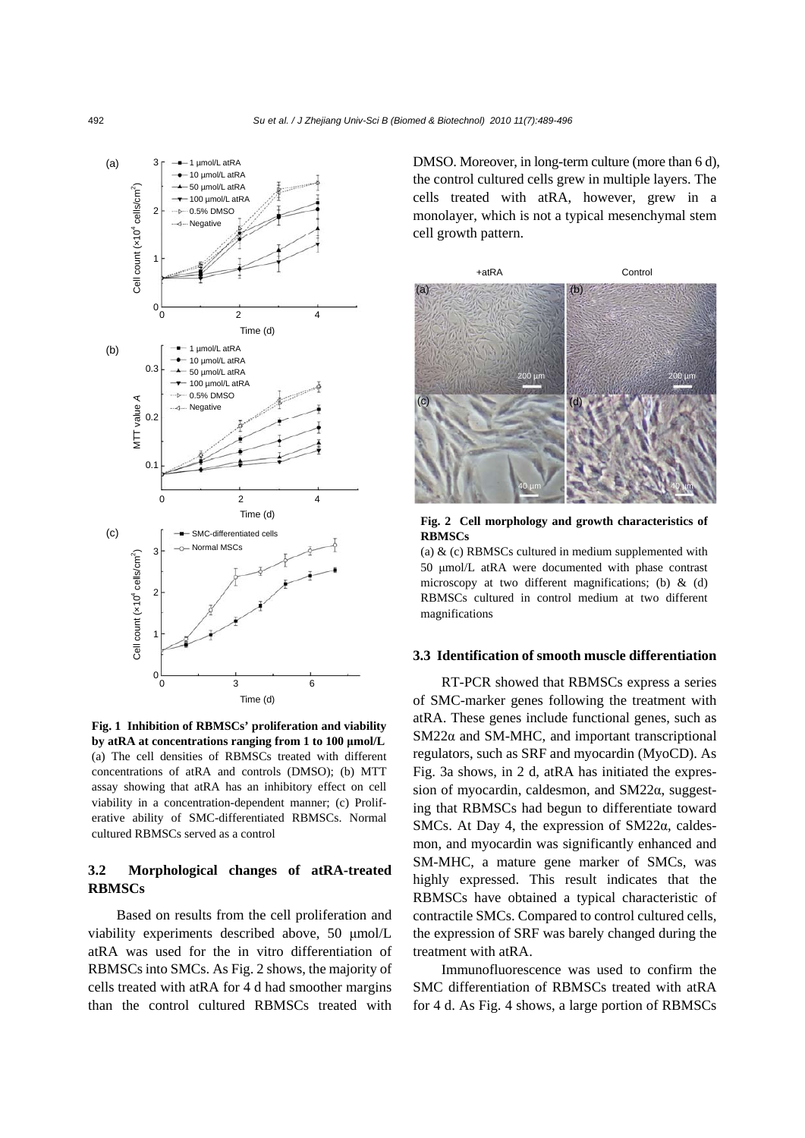

**Fig. 1 Inhibition of RBMSCs' proliferation and viability by atRA at concentrations ranging from 1 to 100 μmol/L** (a) The cell densities of RBMSCs treated with different concentrations of atRA and controls (DMSO); (b) MTT assay showing that atRA has an inhibitory effect on cell viability in a concentration-dependent manner; (c) Proliferative ability of SMC-differentiated RBMSCs. Normal cultured RBMSCs served as a control

# **3.2 Morphological changes of atRA-treated RBMSCs**

Based on results from the cell proliferation and viability experiments described above, 50 μmol/L atRA was used for the in vitro differentiation of RBMSCs into SMCs. As Fig. 2 shows, the majority of cells treated with atRA for 4 d had smoother margins than the control cultured RBMSCs treated with

DMSO. Moreover, in long-term culture (more than 6 d), the control cultured cells grew in multiple layers. The cells treated with atRA, however, grew in a monolayer, which is not a typical mesenchymal stem cell growth pattern.



**Fig. 2 Cell morphology and growth characteristics of RBMSCs**

(a) & (c) RBMSCs cultured in medium supplemented with 50 μmol/L atRA were documented with phase contrast microscopy at two different magnifications; (b) & (d) RBMSCs cultured in control medium at two different magnifications

#### **3.3 Identification of smooth muscle differentiation**

RT-PCR showed that RBMSCs express a series of SMC-marker genes following the treatment with atRA. These genes include functional genes, such as SM22α and SM-MHC, and important transcriptional regulators, such as SRF and myocardin (MyoCD). As Fig. 3a shows, in 2 d, atRA has initiated the expression of myocardin, caldesmon, and SM22α, suggesting that RBMSCs had begun to differentiate toward SMCs. At Day 4, the expression of SM22α, caldesmon, and myocardin was significantly enhanced and SM-MHC, a mature gene marker of SMCs, was highly expressed. This result indicates that the RBMSCs have obtained a typical characteristic of contractile SMCs. Compared to control cultured cells, the expression of SRF was barely changed during the treatment with atRA.

Immunofluorescence was used to confirm the SMC differentiation of RBMSCs treated with atRA for 4 d. As Fig. 4 shows, a large portion of RBMSCs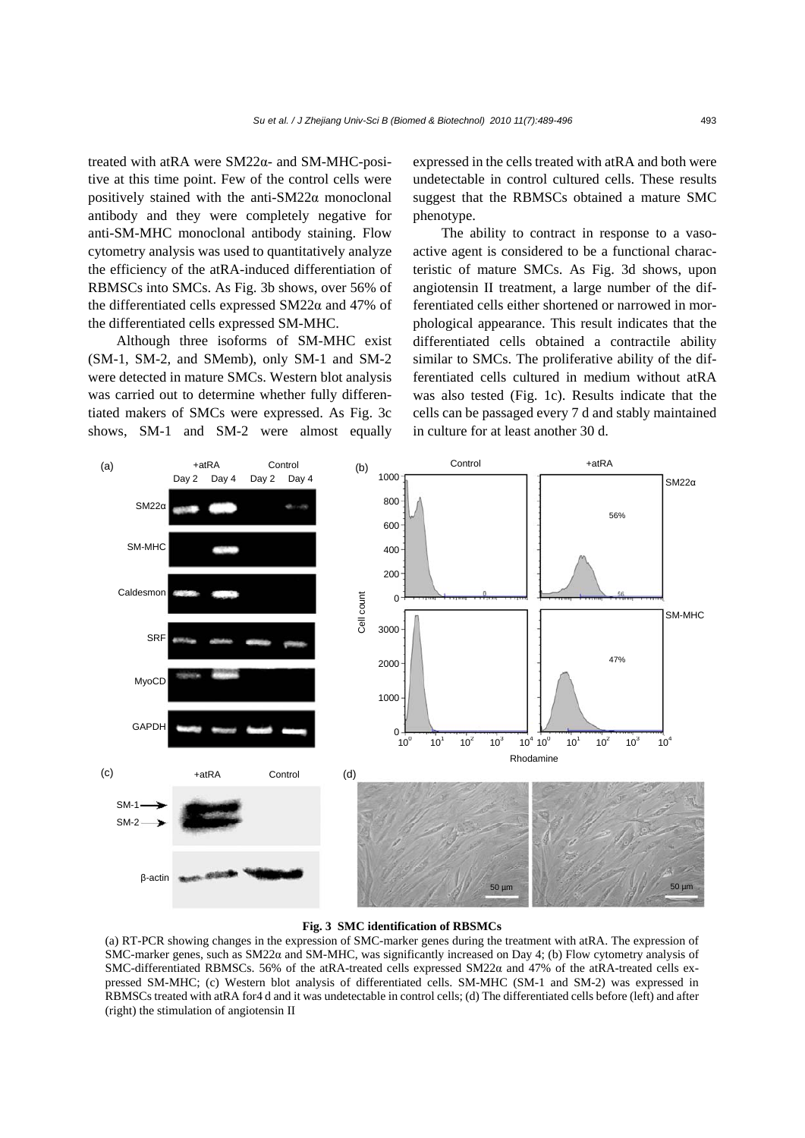treated with atRA were SM22α- and SM-MHC-positive at this time point. Few of the control cells were positively stained with the anti-SM22α monoclonal antibody and they were completely negative for anti-SM-MHC monoclonal antibody staining. Flow cytometry analysis was used to quantitatively analyze the efficiency of the atRA-induced differentiation of RBMSCs into SMCs. As Fig. 3b shows, over 56% of the differentiated cells expressed SM22α and 47% of the differentiated cells expressed SM-MHC.

Although three isoforms of SM-MHC exist (SM-1, SM-2, and SMemb), only SM-1 and SM-2 were detected in mature SMCs. Western blot analysis was carried out to determine whether fully differentiated makers of SMCs were expressed. As Fig. 3c shows, SM-1 and SM-2 were almost equally expressed in the cells treated with atRA and both were undetectable in control cultured cells. These results suggest that the RBMSCs obtained a mature SMC phenotype.

The ability to contract in response to a vasoactive agent is considered to be a functional characteristic of mature SMCs. As Fig. 3d shows, upon angiotensin II treatment, a large number of the differentiated cells either shortened or narrowed in morphological appearance. This result indicates that the differentiated cells obtained a contractile ability similar to SMCs. The proliferative ability of the differentiated cells cultured in medium without atRA was also tested (Fig. 1c). Results indicate that the cells can be passaged every 7 d and stably maintained in culture for at least another 30 d.



#### **Fig. 3 SMC identification of RBSMCs**

(a) RT-PCR showing changes in the expression of SMC-marker genes during the treatment with atRA. The expression of SMC-marker genes, such as SM22α and SM-MHC, was significantly increased on Day 4; (b) Flow cytometry analysis of SMC-differentiated RBMSCs. 56% of the atRA-treated cells expressed SM22α and 47% of the atRA-treated cells expressed SM-MHC; (c) Western blot analysis of differentiated cells. SM-MHC (SM-1 and SM-2) was expressed in RBMSCs treated with atRA for4 d and it was undetectable in control cells; (d) The differentiated cells before (left) and after (right) the stimulation of angiotensin II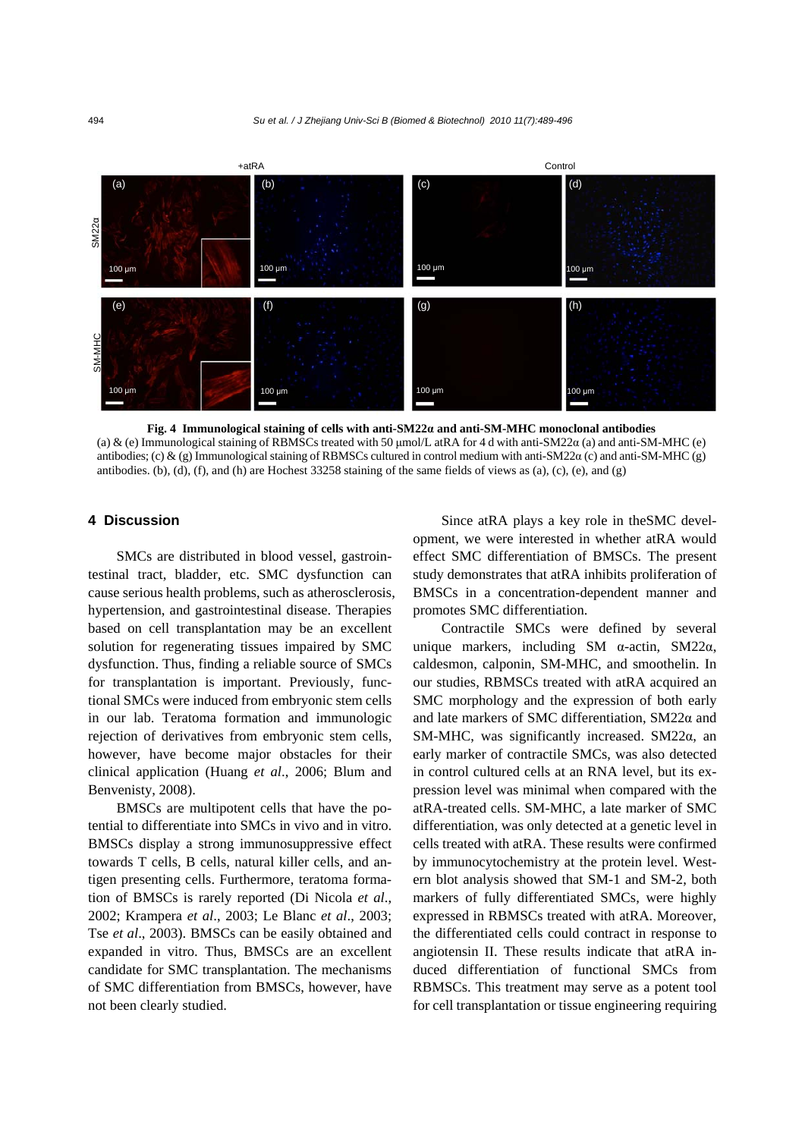

**Fig. 4 Immunological staining of cells with anti-SM22α and anti-SM-MHC monoclonal antibodies**  (a) & (e) Immunological staining of RBMSCs treated with 50  $\mu$ mol/L atRA for 4 d with anti-SM22 $\alpha$  (a) and anti-SM-MHC (e) antibodies; (c) & (g) Immunological staining of RBMSCs cultured in control medium with anti-SM22 $\alpha$  (c) and anti-SM-MHC (g) antibodies. (b), (d), (f), and (h) are Hochest  $33258$  staining of the same fields of views as (a), (c), (e), and (g)

## **4 Discussion**

SMCs are distributed in blood vessel, gastrointestinal tract, bladder, etc. SMC dysfunction can cause serious health problems, such as atherosclerosis, hypertension, and gastrointestinal disease. Therapies based on cell transplantation may be an excellent solution for regenerating tissues impaired by SMC dysfunction. Thus, finding a reliable source of SMCs for transplantation is important. Previously, functional SMCs were induced from embryonic stem cells in our lab. Teratoma formation and immunologic rejection of derivatives from embryonic stem cells, however, have become major obstacles for their clinical application (Huang *et al*., 2006; Blum and Benvenisty, 2008).

BMSCs are multipotent cells that have the potential to differentiate into SMCs in vivo and in vitro. BMSCs display a strong immunosuppressive effect towards T cells, B cells, natural killer cells, and antigen presenting cells. Furthermore, teratoma formation of BMSCs is rarely reported (Di Nicola *et al*., 2002; Krampera *et al*., 2003; Le Blanc *et al*., 2003; Tse *et al*., 2003). BMSCs can be easily obtained and expanded in vitro. Thus, BMSCs are an excellent candidate for SMC transplantation. The mechanisms of SMC differentiation from BMSCs, however, have not been clearly studied.

Since atRA plays a key role in theSMC development, we were interested in whether atRA would effect SMC differentiation of BMSCs. The present study demonstrates that atRA inhibits proliferation of BMSCs in a concentration-dependent manner and promotes SMC differentiation.

Contractile SMCs were defined by several unique markers, including SM α-actin, SM22α, caldesmon, calponin, SM-MHC, and smoothelin. In our studies, RBMSCs treated with atRA acquired an SMC morphology and the expression of both early and late markers of SMC differentiation, SM22α and SM-MHC, was significantly increased. SM22α, an early marker of contractile SMCs, was also detected in control cultured cells at an RNA level, but its expression level was minimal when compared with the atRA-treated cells. SM-MHC, a late marker of SMC differentiation, was only detected at a genetic level in cells treated with atRA. These results were confirmed by immunocytochemistry at the protein level. Western blot analysis showed that SM-1 and SM-2, both markers of fully differentiated SMCs, were highly expressed in RBMSCs treated with atRA. Moreover, the differentiated cells could contract in response to angiotensin II. These results indicate that atRA induced differentiation of functional SMCs from RBMSCs. This treatment may serve as a potent tool for cell transplantation or tissue engineering requiring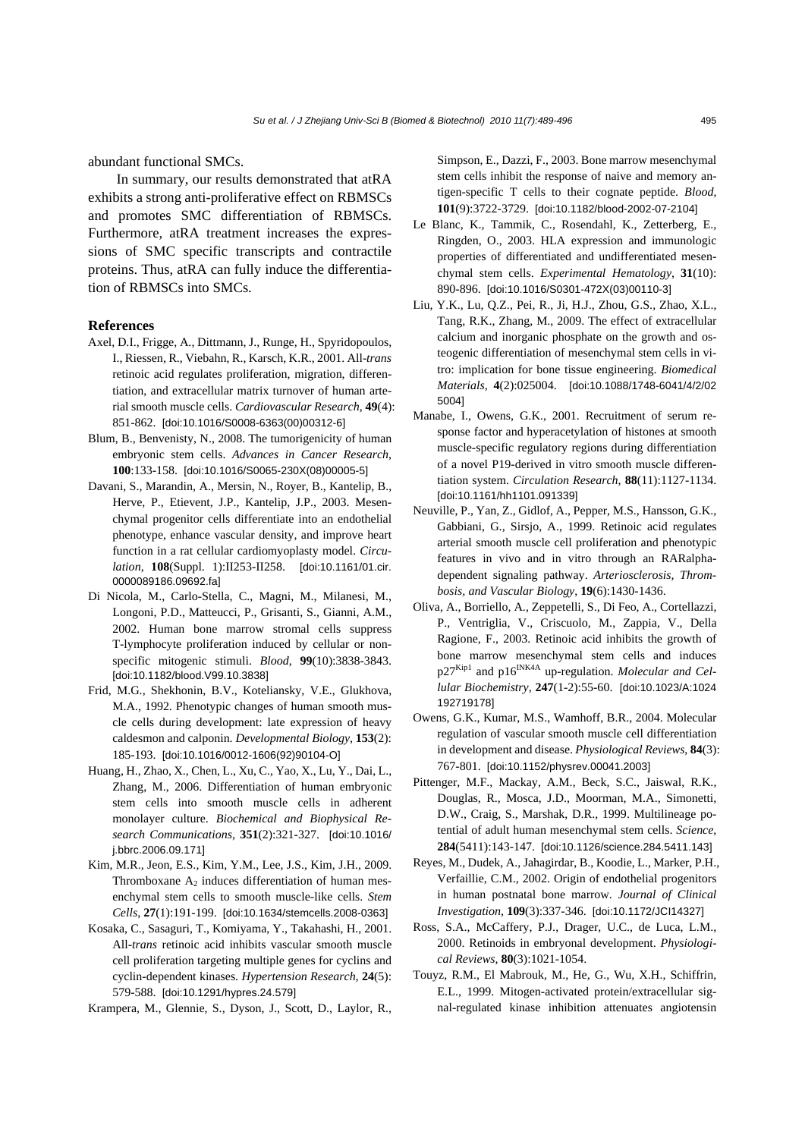abundant functional SMCs.

In summary, our results demonstrated that atRA exhibits a strong anti-proliferative effect on RBMSCs and promotes SMC differentiation of RBMSCs. Furthermore, atRA treatment increases the expressions of SMC specific transcripts and contractile proteins. Thus, atRA can fully induce the differentiation of RBMSCs into SMCs.

#### **References**

- Axel, D.I., Frigge, A., Dittmann, J., Runge, H., Spyridopoulos, I., Riessen, R., Viebahn, R., Karsch, K.R., 2001. All-*trans* retinoic acid regulates proliferation, migration, differentiation, and extracellular matrix turnover of human arterial smooth muscle cells. *Cardiovascular Research*, **49**(4): 851-862. [doi:10.1016/S0008-6363(00)00312-6]
- Blum, B., Benvenisty, N., 2008. The tumorigenicity of human embryonic stem cells. *Advances in Cancer Research*, **100**:133-158. [doi:10.1016/S0065-230X(08)00005-5]
- Davani, S., Marandin, A., Mersin, N., Royer, B., Kantelip, B., Herve, P., Etievent, J.P., Kantelip, J.P., 2003. Mesenchymal progenitor cells differentiate into an endothelial phenotype, enhance vascular density, and improve heart function in a rat cellular cardiomyoplasty model. *Circulation*, **108**(Suppl. 1):II253-II258. [doi:10.1161/01.cir. 0000089186.09692.fa]
- Di Nicola, M., Carlo-Stella, C., Magni, M., Milanesi, M., Longoni, P.D., Matteucci, P., Grisanti, S., Gianni, A.M., 2002. Human bone marrow stromal cells suppress T-lymphocyte proliferation induced by cellular or nonspecific mitogenic stimuli. *Blood*, **99**(10):3838-3843. [doi:10.1182/blood.V99.10.3838]
- Frid, M.G., Shekhonin, B.V., Koteliansky, V.E., Glukhova, M.A., 1992. Phenotypic changes of human smooth muscle cells during development: late expression of heavy caldesmon and calponin. *Developmental Biology*, **153**(2): 185-193. [doi:10.1016/0012-1606(92)90104-O]
- Huang, H., Zhao, X., Chen, L., Xu, C., Yao, X., Lu, Y., Dai, L., Zhang, M., 2006. Differentiation of human embryonic stem cells into smooth muscle cells in adherent monolayer culture. *Biochemical and Biophysical Research Communications*, **351**(2):321-327. [doi:10.1016/ j.bbrc.2006.09.171]
- Kim, M.R., Jeon, E.S., Kim, Y.M., Lee, J.S., Kim, J.H., 2009. Thromboxane  $A_2$  induces differentiation of human mesenchymal stem cells to smooth muscle-like cells. *Stem Cells*, **27**(1):191-199. [doi:10.1634/stemcells.2008-0363]
- Kosaka, C., Sasaguri, T., Komiyama, Y., Takahashi, H., 2001. All-*trans* retinoic acid inhibits vascular smooth muscle cell proliferation targeting multiple genes for cyclins and cyclin-dependent kinases. *Hypertension Research*, **24**(5): 579-588. [doi:10.1291/hypres.24.579]
- Krampera, M., Glennie, S., Dyson, J., Scott, D., Laylor, R.,

Simpson, E., Dazzi, F., 2003. Bone marrow mesenchymal stem cells inhibit the response of naive and memory antigen-specific T cells to their cognate peptide. *Blood*, **101**(9):3722-3729. [doi:10.1182/blood-2002-07-2104]

- Le Blanc, K., Tammik, C., Rosendahl, K., Zetterberg, E., Ringden, O., 2003. HLA expression and immunologic properties of differentiated and undifferentiated mesenchymal stem cells. *Experimental Hematology*, **31**(10): 890-896. [doi:10.1016/S0301-472X(03)00110-3]
- Liu, Y.K., Lu, Q.Z., Pei, R., Ji, H.J., Zhou, G.S., Zhao, X.L., Tang, R.K., Zhang, M., 2009. The effect of extracellular calcium and inorganic phosphate on the growth and osteogenic differentiation of mesenchymal stem cells in vitro: implication for bone tissue engineering. *Biomedical Materials*, **4**(2):025004. [doi:10.1088/1748-6041/4/2/02 5004]
- Manabe, I., Owens, G.K., 2001. Recruitment of serum response factor and hyperacetylation of histones at smooth muscle-specific regulatory regions during differentiation of a novel P19-derived in vitro smooth muscle differentiation system. *Circulation Research*, **88**(11):1127-1134. [doi:10.1161/hh1101.091339]
- Neuville, P., Yan, Z., Gidlof, A., Pepper, M.S., Hansson, G.K., Gabbiani, G., Sirsjo, A., 1999. Retinoic acid regulates arterial smooth muscle cell proliferation and phenotypic features in vivo and in vitro through an RARalphadependent signaling pathway. *Arteriosclerosis, Thrombosis, and Vascular Biology*, **19**(6):1430-1436.
- Oliva, A., Borriello, A., Zeppetelli, S., Di Feo, A., Cortellazzi, P., Ventriglia, V., Criscuolo, M., Zappia, V., Della Ragione, F., 2003. Retinoic acid inhibits the growth of bone marrow mesenchymal stem cells and induces p27<sup>Kip1</sup> and p16<sup>INK4A</sup> up-regulation. *Molecular and Cellular Biochemistry*, **247**(1-2):55-60. [doi:10.1023/A:1024 192719178]
- Owens, G.K., Kumar, M.S., Wamhoff, B.R., 2004. Molecular regulation of vascular smooth muscle cell differentiation in development and disease. *Physiological Reviews*, **84**(3): 767-801. [doi:10.1152/physrev.00041.2003]
- Pittenger, M.F., Mackay, A.M., Beck, S.C., Jaiswal, R.K., Douglas, R., Mosca, J.D., Moorman, M.A., Simonetti, D.W., Craig, S., Marshak, D.R., 1999. Multilineage potential of adult human mesenchymal stem cells. *Science*, **284**(5411):143-147. [doi:10.1126/science.284.5411.143]
- Reyes, M., Dudek, A., Jahagirdar, B., Koodie, L., Marker, P.H., Verfaillie, C.M., 2002. Origin of endothelial progenitors in human postnatal bone marrow. *Journal of Clinical Investigation*, **109**(3):337-346. [doi:10.1172/JCI14327]
- Ross, S.A., McCaffery, P.J., Drager, U.C., de Luca, L.M., 2000. Retinoids in embryonal development. *Physiological Reviews*, **80**(3):1021-1054.
- Touyz, R.M., El Mabrouk, M., He, G., Wu, X.H., Schiffrin, E.L., 1999. Mitogen-activated protein/extracellular signal-regulated kinase inhibition attenuates angiotensin